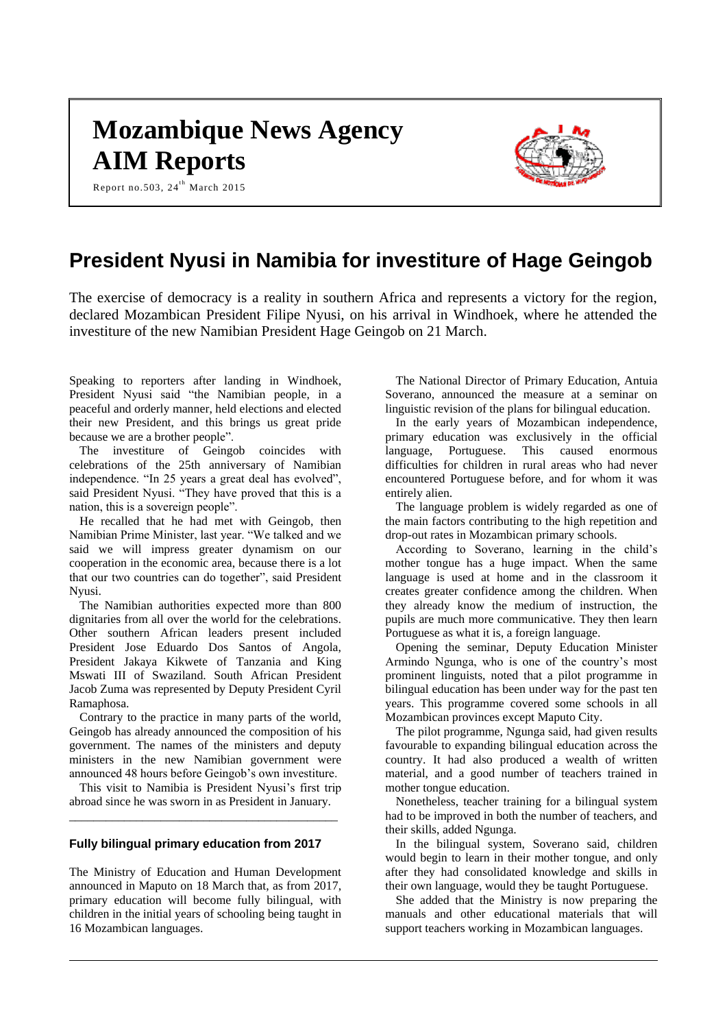# **Mozambique News Agency AIM Reports**

Report no.503,  $24^{th}$  March 2015



# **President Nyusi in Namibia for investiture of Hage Geingob**

The exercise of democracy is a reality in southern Africa and represents a victory for the region, declared Mozambican President Filipe Nyusi, on his arrival in Windhoek, where he attended the investiture of the new Namibian President Hage Geingob on 21 March.

Speaking to reporters after landing in Windhoek, President Nyusi said "the Namibian people, in a peaceful and orderly manner, held elections and elected their new President, and this brings us great pride because we are a brother people".

The investiture of Geingob coincides with celebrations of the 25th anniversary of Namibian independence. "In 25 years a great deal has evolved", said President Nyusi. "They have proved that this is a nation, this is a sovereign people".

He recalled that he had met with Geingob, then Namibian Prime Minister, last year. "We talked and we said we will impress greater dynamism on our cooperation in the economic area, because there is a lot that our two countries can do together", said President Nyusi.

The Namibian authorities expected more than 800 dignitaries from all over the world for the celebrations. Other southern African leaders present included President Jose Eduardo Dos Santos of Angola, President Jakaya Kikwete of Tanzania and King Mswati III of Swaziland. South African President Jacob Zuma was represented by Deputy President Cyril Ramaphosa.

Contrary to the practice in many parts of the world, Geingob has already announced the composition of his government. The names of the ministers and deputy ministers in the new Namibian government were announced 48 hours before Geingob's own investiture.

This visit to Namibia is President Nyusi's first trip abroad since he was sworn in as President in January. \_\_\_\_\_\_\_\_\_\_\_\_\_\_\_\_\_\_\_\_\_\_\_\_\_\_\_\_\_\_\_\_\_\_\_\_\_\_\_\_\_\_\_\_

# **Fully bilingual primary education from 2017**

The Ministry of Education and Human Development announced in Maputo on 18 March that, as from 2017, primary education will become fully bilingual, with children in the initial years of schooling being taught in 16 Mozambican languages.

The National Director of Primary Education, Antuia Soverano, announced the measure at a seminar on linguistic revision of the plans for bilingual education.

In the early years of Mozambican independence, primary education was exclusively in the official language, Portuguese. This caused enormous difficulties for children in rural areas who had never encountered Portuguese before, and for whom it was entirely alien.

The language problem is widely regarded as one of the main factors contributing to the high repetition and drop-out rates in Mozambican primary schools.

According to Soverano, learning in the child's mother tongue has a huge impact. When the same language is used at home and in the classroom it creates greater confidence among the children. When they already know the medium of instruction, the pupils are much more communicative. They then learn Portuguese as what it is, a foreign language.

Opening the seminar, Deputy Education Minister Armindo Ngunga, who is one of the country's most prominent linguists, noted that a pilot programme in bilingual education has been under way for the past ten years. This programme covered some schools in all Mozambican provinces except Maputo City.

The pilot programme, Ngunga said, had given results favourable to expanding bilingual education across the country. It had also produced a wealth of written material, and a good number of teachers trained in mother tongue education.

Nonetheless, teacher training for a bilingual system had to be improved in both the number of teachers, and their skills, added Ngunga.

In the bilingual system, Soverano said, children would begin to learn in their mother tongue, and only after they had consolidated knowledge and skills in their own language, would they be taught Portuguese.

She added that the Ministry is now preparing the manuals and other educational materials that will support teachers working in Mozambican languages.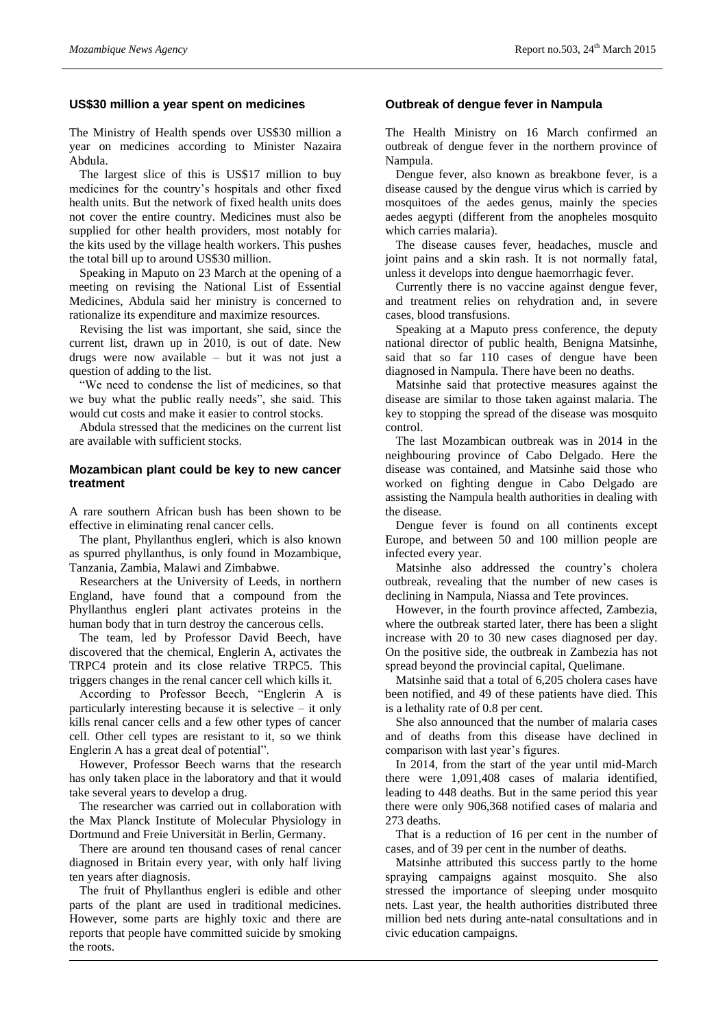#### **US\$30 million a year spent on medicines**

The Ministry of Health spends over US\$30 million a year on medicines according to Minister Nazaira Abdula.

The largest slice of this is US\$17 million to buy medicines for the country's hospitals and other fixed health units. But the network of fixed health units does not cover the entire country. Medicines must also be supplied for other health providers, most notably for the kits used by the village health workers. This pushes the total bill up to around US\$30 million.

Speaking in Maputo on 23 March at the opening of a meeting on revising the National List of Essential Medicines, Abdula said her ministry is concerned to rationalize its expenditure and maximize resources.

Revising the list was important, she said, since the current list, drawn up in 2010, is out of date. New drugs were now available – but it was not just a question of adding to the list.

"We need to condense the list of medicines, so that we buy what the public really needs", she said. This would cut costs and make it easier to control stocks.

Abdula stressed that the medicines on the current list are available with sufficient stocks.

# **Mozambican plant could be key to new cancer treatment**

A rare southern African bush has been shown to be effective in eliminating renal cancer cells.

The plant, Phyllanthus engleri, which is also known as spurred phyllanthus, is only found in Mozambique, Tanzania, Zambia, Malawi and Zimbabwe.

Researchers at the University of Leeds, in northern England, have found that a compound from the Phyllanthus engleri plant activates proteins in the human body that in turn destroy the cancerous cells.

The team, led by Professor David Beech, have discovered that the chemical, Englerin A, activates the TRPC4 protein and its close relative TRPC5. This triggers changes in the renal cancer cell which kills it.

According to Professor Beech, "Englerin A is particularly interesting because it is selective – it only kills renal cancer cells and a few other types of cancer cell. Other cell types are resistant to it, so we think Englerin A has a great deal of potential".

However, Professor Beech warns that the research has only taken place in the laboratory and that it would take several years to develop a drug.

The researcher was carried out in collaboration with the Max Planck Institute of Molecular Physiology in Dortmund and Freie Universität in Berlin, Germany.

There are around ten thousand cases of renal cancer diagnosed in Britain every year, with only half living ten years after diagnosis.

The fruit of Phyllanthus engleri is edible and other parts of the plant are used in traditional medicines. However, some parts are highly toxic and there are reports that people have committed suicide by smoking the roots.

#### **Outbreak of dengue fever in Nampula**

The Health Ministry on 16 March confirmed an outbreak of dengue fever in the northern province of Nampula.

Dengue fever, also known as breakbone fever, is a disease caused by the dengue virus which is carried by mosquitoes of the aedes genus, mainly the species aedes aegypti (different from the anopheles mosquito which carries malaria).

The disease causes fever, headaches, muscle and joint pains and a skin rash. It is not normally fatal, unless it develops into dengue haemorrhagic fever.

Currently there is no vaccine against dengue fever, and treatment relies on rehydration and, in severe cases, blood transfusions.

Speaking at a Maputo press conference, the deputy national director of public health, Benigna Matsinhe, said that so far 110 cases of dengue have been diagnosed in Nampula. There have been no deaths.

Matsinhe said that protective measures against the disease are similar to those taken against malaria. The key to stopping the spread of the disease was mosquito control.

The last Mozambican outbreak was in 2014 in the neighbouring province of Cabo Delgado. Here the disease was contained, and Matsinhe said those who worked on fighting dengue in Cabo Delgado are assisting the Nampula health authorities in dealing with the disease.

Dengue fever is found on all continents except Europe, and between 50 and 100 million people are infected every year.

Matsinhe also addressed the country's cholera outbreak, revealing that the number of new cases is declining in Nampula, Niassa and Tete provinces.

However, in the fourth province affected, Zambezia, where the outbreak started later, there has been a slight increase with 20 to 30 new cases diagnosed per day. On the positive side, the outbreak in Zambezia has not spread beyond the provincial capital, Quelimane.

Matsinhe said that a total of 6,205 cholera cases have been notified, and 49 of these patients have died. This is a lethality rate of 0.8 per cent.

She also announced that the number of malaria cases and of deaths from this disease have declined in comparison with last year's figures.

In 2014, from the start of the year until mid-March there were 1,091,408 cases of malaria identified, leading to 448 deaths. But in the same period this year there were only 906,368 notified cases of malaria and 273 deaths.

That is a reduction of 16 per cent in the number of cases, and of 39 per cent in the number of deaths.

Matsinhe attributed this success partly to the home spraying campaigns against mosquito. She also stressed the importance of sleeping under mosquito nets. Last year, the health authorities distributed three million bed nets during ante-natal consultations and in civic education campaigns.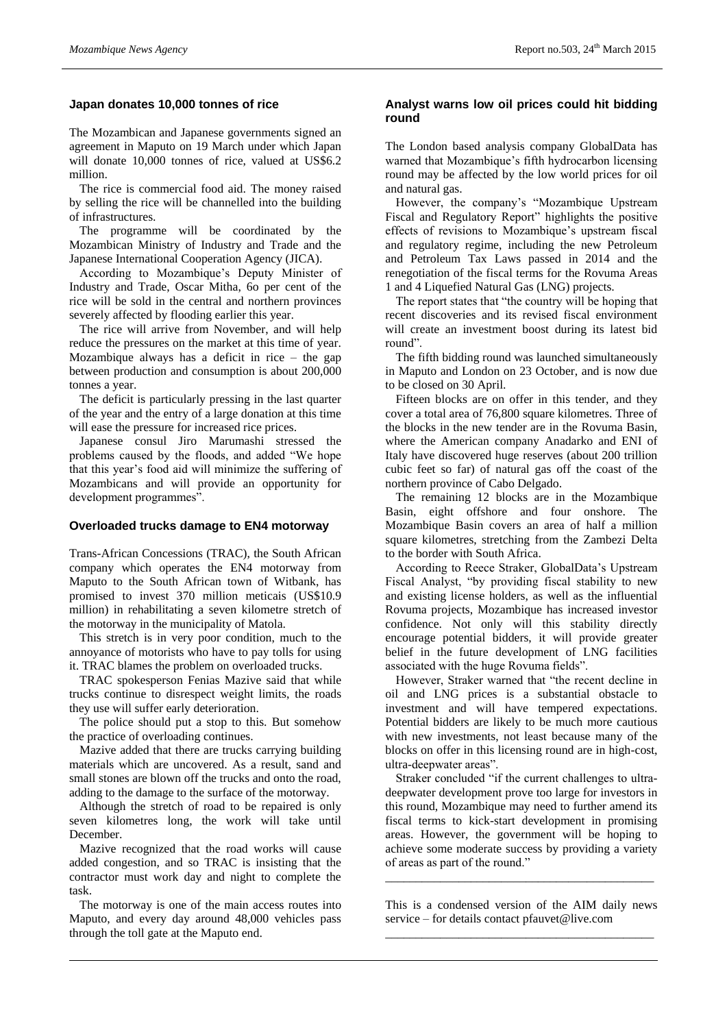# **Japan donates 10,000 tonnes of rice**

The Mozambican and Japanese governments signed an agreement in Maputo on 19 March under which Japan will donate 10,000 tonnes of rice, valued at US\$6.2 million.

The rice is commercial food aid. The money raised by selling the rice will be channelled into the building of infrastructures.

The programme will be coordinated by the Mozambican Ministry of Industry and Trade and the Japanese International Cooperation Agency (JICA).

According to Mozambique's Deputy Minister of Industry and Trade, Oscar Mitha, 6o per cent of the rice will be sold in the central and northern provinces severely affected by flooding earlier this year.

The rice will arrive from November, and will help reduce the pressures on the market at this time of year. Mozambique always has a deficit in rice – the gap between production and consumption is about 200,000 tonnes a year.

The deficit is particularly pressing in the last quarter of the year and the entry of a large donation at this time will ease the pressure for increased rice prices.

Japanese consul Jiro Marumashi stressed the problems caused by the floods, and added "We hope that this year's food aid will minimize the suffering of Mozambicans and will provide an opportunity for development programmes".

#### **Overloaded trucks damage to EN4 motorway**

Trans-African Concessions (TRAC), the South African company which operates the EN4 motorway from Maputo to the South African town of Witbank, has promised to invest 370 million meticais (US\$10.9 million) in rehabilitating a seven kilometre stretch of the motorway in the municipality of Matola.

This stretch is in very poor condition, much to the annoyance of motorists who have to pay tolls for using it. TRAC blames the problem on overloaded trucks.

TRAC spokesperson Fenias Mazive said that while trucks continue to disrespect weight limits, the roads they use will suffer early deterioration.

The police should put a stop to this. But somehow the practice of overloading continues.

Mazive added that there are trucks carrying building materials which are uncovered. As a result, sand and small stones are blown off the trucks and onto the road, adding to the damage to the surface of the motorway.

Although the stretch of road to be repaired is only seven kilometres long, the work will take until December.

Mazive recognized that the road works will cause added congestion, and so TRAC is insisting that the contractor must work day and night to complete the task.

The motorway is one of the main access routes into Maputo, and every day around 48,000 vehicles pass through the toll gate at the Maputo end.

# **Analyst warns low oil prices could hit bidding round**

The London based analysis company GlobalData has warned that Mozambique's fifth hydrocarbon licensing round may be affected by the low world prices for oil and natural gas.

However, the company's "Mozambique Upstream Fiscal and Regulatory Report" highlights the positive effects of revisions to Mozambique's upstream fiscal and regulatory regime, including the new Petroleum and Petroleum Tax Laws passed in 2014 and the renegotiation of the fiscal terms for the Rovuma Areas 1 and 4 Liquefied Natural Gas (LNG) projects.

The report states that "the country will be hoping that recent discoveries and its revised fiscal environment will create an investment boost during its latest bid round".

The fifth bidding round was launched simultaneously in Maputo and London on 23 October, and is now due to be closed on 30 April.

Fifteen blocks are on offer in this tender, and they cover a total area of 76,800 square kilometres. Three of the blocks in the new tender are in the Rovuma Basin, where the American company Anadarko and ENI of Italy have discovered huge reserves (about 200 trillion cubic feet so far) of natural gas off the coast of the northern province of Cabo Delgado.

The remaining 12 blocks are in the Mozambique Basin, eight offshore and four onshore. The Mozambique Basin covers an area of half a million square kilometres, stretching from the Zambezi Delta to the border with South Africa.

According to Reece Straker, GlobalData's Upstream Fiscal Analyst, "by providing fiscal stability to new and existing license holders, as well as the influential Rovuma projects, Mozambique has increased investor confidence. Not only will this stability directly encourage potential bidders, it will provide greater belief in the future development of LNG facilities associated with the huge Rovuma fields".

However, Straker warned that "the recent decline in oil and LNG prices is a substantial obstacle to investment and will have tempered expectations. Potential bidders are likely to be much more cautious with new investments, not least because many of the blocks on offer in this licensing round are in high-cost, ultra-deepwater areas".

Straker concluded "if the current challenges to ultradeepwater development prove too large for investors in this round, Mozambique may need to further amend its fiscal terms to kick-start development in promising areas. However, the government will be hoping to achieve some moderate success by providing a variety of areas as part of the round."

This is a condensed version of the AIM daily news service – for details contact pfauvet@live.com \_\_\_\_\_\_\_\_\_\_\_\_\_\_\_\_\_\_\_\_\_\_\_\_\_\_\_\_\_\_\_\_\_\_\_\_\_\_\_\_\_\_\_\_

\_\_\_\_\_\_\_\_\_\_\_\_\_\_\_\_\_\_\_\_\_\_\_\_\_\_\_\_\_\_\_\_\_\_\_\_\_\_\_\_\_\_\_\_